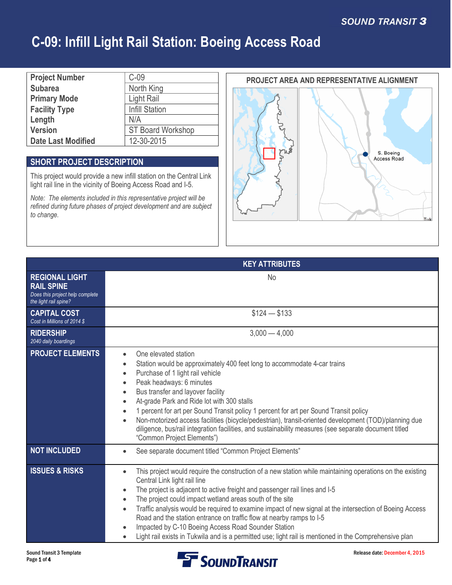| <b>Project Number</b>     | $C-09$                   |
|---------------------------|--------------------------|
| <b>Subarea</b>            | North King               |
| <b>Primary Mode</b>       | Light Rail               |
| <b>Facility Type</b>      | <b>Infill Station</b>    |
| Length                    | N/A                      |
| <b>Version</b>            | <b>ST Board Workshop</b> |
| <b>Date Last Modified</b> | 12-30-2015               |

### **SHORT PROJECT DESCRIPTION**

This project would provide a new infill station on the Central Link light rail line in the vicinity of Boeing Access Road and I-5.

*Note: The elements included in this representative project will be refined during future phases of project development and are subject to change.*

### **PROJECT AREA AND REPRESENTATIVE ALIGNMENT**



|                                                                                                        | <b>KEY ATTRIBUTES</b>                                                                                                                                                                                                                                                                                                                                                                                                                                                                                                                                                                                                                                                                       |  |
|--------------------------------------------------------------------------------------------------------|---------------------------------------------------------------------------------------------------------------------------------------------------------------------------------------------------------------------------------------------------------------------------------------------------------------------------------------------------------------------------------------------------------------------------------------------------------------------------------------------------------------------------------------------------------------------------------------------------------------------------------------------------------------------------------------------|--|
| <b>REGIONAL LIGHT</b><br><b>RAIL SPINE</b><br>Does this project help complete<br>the light rail spine? | No.                                                                                                                                                                                                                                                                                                                                                                                                                                                                                                                                                                                                                                                                                         |  |
| <b>CAPITAL COST</b><br>Cost in Millions of 2014 \$                                                     | $$124 - $133$                                                                                                                                                                                                                                                                                                                                                                                                                                                                                                                                                                                                                                                                               |  |
| <b>RIDERSHIP</b><br>2040 daily boardings                                                               | $3,000 - 4,000$                                                                                                                                                                                                                                                                                                                                                                                                                                                                                                                                                                                                                                                                             |  |
| <b>PROJECT ELEMENTS</b>                                                                                | One elevated station<br>Station would be approximately 400 feet long to accommodate 4-car trains<br>Purchase of 1 light rail vehicle<br>Peak headways: 6 minutes<br>Bus transfer and layover facility<br>At-grade Park and Ride lot with 300 stalls<br>1 percent for art per Sound Transit policy 1 percent for art per Sound Transit policy<br>Non-motorized access facilities (bicycle/pedestrian), transit-oriented development (TOD)/planning due<br>diligence, bus/rail integration facilities, and sustainability measures (see separate document titled<br>"Common Project Elements")                                                                                                |  |
| <b>NOT INCLUDED</b>                                                                                    | See separate document titled "Common Project Elements"                                                                                                                                                                                                                                                                                                                                                                                                                                                                                                                                                                                                                                      |  |
| <b>ISSUES &amp; RISKS</b>                                                                              | This project would require the construction of a new station while maintaining operations on the existing<br>$\bullet$<br>Central Link light rail line<br>The project is adjacent to active freight and passenger rail lines and I-5<br>$\bullet$<br>The project could impact wetland areas south of the site<br>$\bullet$<br>Traffic analysis would be required to examine impact of new signal at the intersection of Boeing Access<br>$\bullet$<br>Road and the station entrance on traffic flow at nearby ramps to I-5<br>Impacted by C-10 Boeing Access Road Sounder Station<br>Light rail exists in Tukwila and is a permitted use; light rail is mentioned in the Comprehensive plan |  |

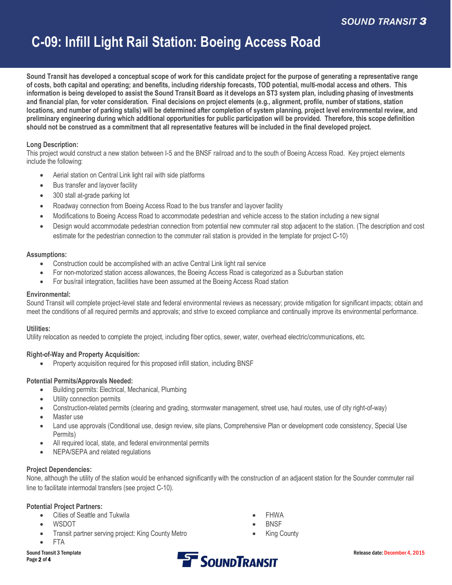**Sound Transit has developed a conceptual scope of work for this candidate project for the purpose of generating a representative range of costs, both capital and operating; and benefits, including ridership forecasts, TOD potential, multi-modal access and others. This information is being developed to assist the Sound Transit Board as it develops an ST3 system plan, including phasing of investments and financial plan, for voter consideration. Final decisions on project elements (e.g., alignment, profile, number of stations, station locations, and number of parking stalls) will be determined after completion of system planning, project level environmental review, and preliminary engineering during which additional opportunities for public participation will be provided. Therefore, this scope definition should not be construed as a commitment that all representative features will be included in the final developed project.**

#### **Long Description:**

This project would construct a new station between I-5 and the BNSF railroad and to the south of Boeing Access Road. Key project elements include the following:

- Aerial station on Central Link light rail with side platforms
- Bus transfer and layover facility
- 300 stall at-grade parking lot
- Roadway connection from Boeing Access Road to the bus transfer and layover facility
- · Modifications to Boeing Access Road to accommodate pedestrian and vehicle access to the station including a new signal
- Design would accommodate pedestrian connection from potential new commuter rail stop adjacent to the station. (The description and cost estimate for the pedestrian connection to the commuter rail station is provided in the template for project C-10)

#### **Assumptions:**

- Construction could be accomplished with an active Central Link light rail service
- · For non-motorized station access allowances, the Boeing Access Road is categorized as a Suburban station
- For bus/rail integration, facilities have been assumed at the Boeing Access Road station

#### **Environmental:**

Sound Transit will complete project-level state and federal environmental reviews as necessary; provide mitigation for significant impacts; obtain and meet the conditions of all required permits and approvals; and strive to exceed compliance and continually improve its environmental performance.

#### **Utilities:**

Utility relocation as needed to complete the project, including fiber optics, sewer, water, overhead electric/communications, etc.

#### **Right-of-Way and Property Acquisition:**

Property acquisition required for this proposed infill station, including BNSF

#### **Potential Permits/Approvals Needed:**

- Building permits: Electrical, Mechanical, Plumbing
- Utility connection permits
- · Construction-related permits (clearing and grading, stormwater management, street use, haul routes, use of city right-of-way)
- Master use
- Land use approvals (Conditional use, design review, site plans, Comprehensive Plan or development code consistency, Special Use Permits)
- All required local, state, and federal environmental permits
- NEPA/SEPA and related regulations

#### **Project Dependencies:**

None, although the utility of the station would be enhanced significantly with the construction of an adjacent station for the Sounder commuter rail line to facilitate intermodal transfers (see project C-10).

#### **Potential Project Partners:**

- · Cities of Seattle and Tukwila
- · WSDOT
- Transit partner serving project: King County Metro
- · FTA
- **FHWA**
- **BNSF**
- **King County**

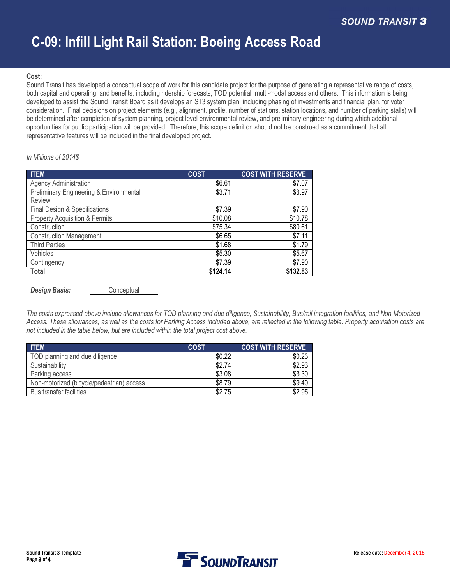#### **Cost:**

Sound Transit has developed a conceptual scope of work for this candidate project for the purpose of generating a representative range of costs, both capital and operating; and benefits, including ridership forecasts, TOD potential, multi-modal access and others. This information is being developed to assist the Sound Transit Board as it develops an ST3 system plan, including phasing of investments and financial plan, for voter consideration. Final decisions on project elements (e.g., alignment, profile, number of stations, station locations, and number of parking stalls) will be determined after completion of system planning, project level environmental review, and preliminary engineering during which additional opportunities for public participation will be provided. Therefore, this scope definition should not be construed as a commitment that all representative features will be included in the final developed project.

#### *In Millions of 2014\$*

| <b>ITEM</b>                             | <b>COST</b> | <b>COST WITH RESERVE</b> |
|-----------------------------------------|-------------|--------------------------|
| <b>Agency Administration</b>            | \$6.61      | \$7.07                   |
| Preliminary Engineering & Environmental | \$3.71      | \$3.97                   |
| Review                                  |             |                          |
| Final Design & Specifications           | \$7.39      | \$7.90                   |
| Property Acquisition & Permits          | \$10.08     | \$10.78                  |
| Construction                            | \$75.34     | \$80.61                  |
| <b>Construction Management</b>          | \$6.65      | \$7.11                   |
| <b>Third Parties</b>                    | \$1.68      | \$1.79                   |
| Vehicles                                | \$5.30      | \$5.67                   |
| Contingency                             | \$7.39      | \$7.90                   |
| Total                                   | \$124.14    | \$132.83                 |

**Design Basis: Conceptual** 

*The costs expressed above include allowances for TOD planning and due diligence, Sustainability, Bus/rail integration facilities, and Non-Motorized Access. These allowances, as well as the costs for Parking Access included above, are reflected in the following table. Property acquisition costs are not included in the table below, but are included within the total project cost above.*

| <b>ITEM</b>                               | <b>COST</b> | <b>COST WITH RESERVE</b> |
|-------------------------------------------|-------------|--------------------------|
| TOD planning and due diligence            | \$0.22      | \$0.23                   |
| Sustainability                            | \$2.74      | \$2.93                   |
| Parking access                            | \$3.08      | \$3.30                   |
| Non-motorized (bicycle/pedestrian) access | \$8.79      | \$9.40                   |
| Bus transfer facilities                   | \$2.75      | \$2.95                   |